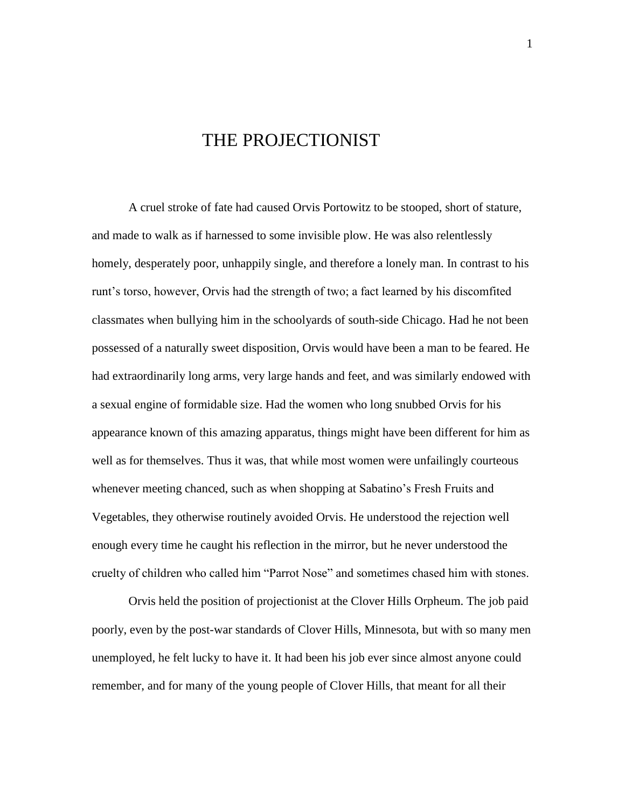## THE PROJECTIONIST

A cruel stroke of fate had caused Orvis Portowitz to be stooped, short of stature, and made to walk as if harnessed to some invisible plow. He was also relentlessly homely, desperately poor, unhappily single, and therefore a lonely man. In contrast to his runt's torso, however, Orvis had the strength of two; a fact learned by his discomfited classmates when bullying him in the schoolyards of south-side Chicago. Had he not been possessed of a naturally sweet disposition, Orvis would have been a man to be feared. He had extraordinarily long arms, very large hands and feet, and was similarly endowed with a sexual engine of formidable size. Had the women who long snubbed Orvis for his appearance known of this amazing apparatus, things might have been different for him as well as for themselves. Thus it was, that while most women were unfailingly courteous whenever meeting chanced, such as when shopping at Sabatino's Fresh Fruits and Vegetables, they otherwise routinely avoided Orvis. He understood the rejection well enough every time he caught his reflection in the mirror, but he never understood the cruelty of children who called him "Parrot Nose" and sometimes chased him with stones.

Orvis held the position of projectionist at the Clover Hills Orpheum. The job paid poorly, even by the post-war standards of Clover Hills, Minnesota, but with so many men unemployed, he felt lucky to have it. It had been his job ever since almost anyone could remember, and for many of the young people of Clover Hills, that meant for all their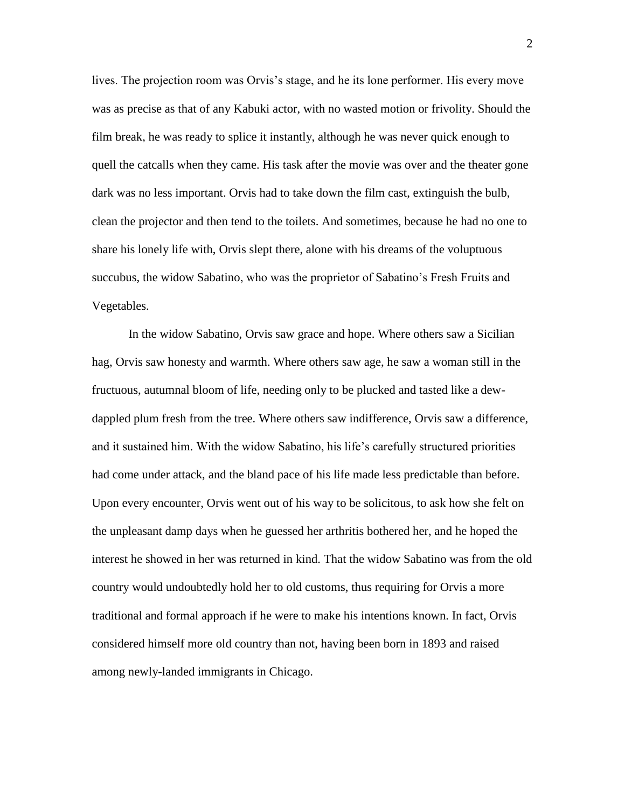lives. The projection room was Orvis's stage, and he its lone performer. His every move was as precise as that of any Kabuki actor, with no wasted motion or frivolity. Should the film break, he was ready to splice it instantly, although he was never quick enough to quell the catcalls when they came. His task after the movie was over and the theater gone dark was no less important. Orvis had to take down the film cast, extinguish the bulb, clean the projector and then tend to the toilets. And sometimes, because he had no one to share his lonely life with, Orvis slept there, alone with his dreams of the voluptuous succubus, the widow Sabatino, who was the proprietor of Sabatino's Fresh Fruits and Vegetables.

In the widow Sabatino, Orvis saw grace and hope. Where others saw a Sicilian hag, Orvis saw honesty and warmth. Where others saw age, he saw a woman still in the fructuous, autumnal bloom of life, needing only to be plucked and tasted like a dewdappled plum fresh from the tree. Where others saw indifference, Orvis saw a difference, and it sustained him. With the widow Sabatino, his life's carefully structured priorities had come under attack, and the bland pace of his life made less predictable than before. Upon every encounter, Orvis went out of his way to be solicitous, to ask how she felt on the unpleasant damp days when he guessed her arthritis bothered her, and he hoped the interest he showed in her was returned in kind. That the widow Sabatino was from the old country would undoubtedly hold her to old customs, thus requiring for Orvis a more traditional and formal approach if he were to make his intentions known. In fact, Orvis considered himself more old country than not, having been born in 1893 and raised among newly-landed immigrants in Chicago.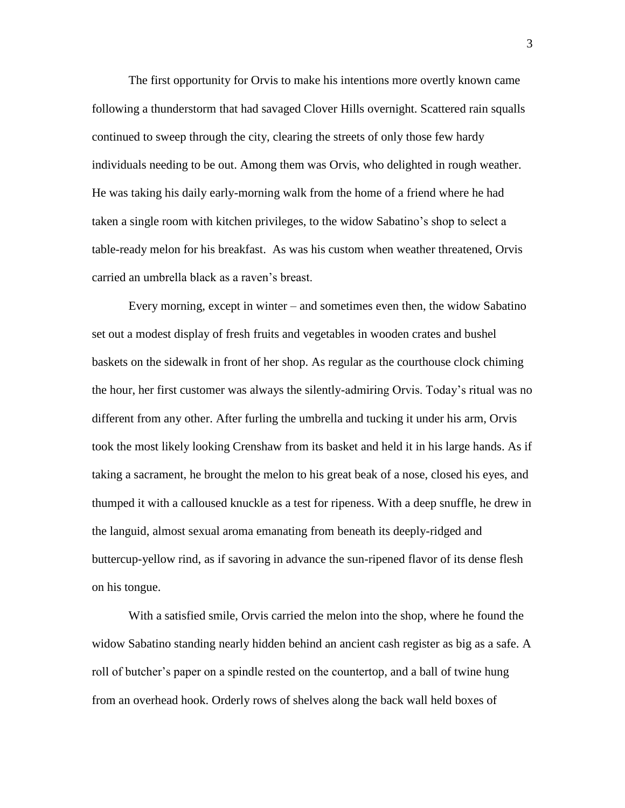The first opportunity for Orvis to make his intentions more overtly known came following a thunderstorm that had savaged Clover Hills overnight. Scattered rain squalls continued to sweep through the city, clearing the streets of only those few hardy individuals needing to be out. Among them was Orvis, who delighted in rough weather. He was taking his daily early-morning walk from the home of a friend where he had taken a single room with kitchen privileges, to the widow Sabatino's shop to select a table-ready melon for his breakfast. As was his custom when weather threatened, Orvis carried an umbrella black as a raven's breast.

Every morning, except in winter – and sometimes even then, the widow Sabatino set out a modest display of fresh fruits and vegetables in wooden crates and bushel baskets on the sidewalk in front of her shop. As regular as the courthouse clock chiming the hour, her first customer was always the silently-admiring Orvis. Today's ritual was no different from any other. After furling the umbrella and tucking it under his arm, Orvis took the most likely looking Crenshaw from its basket and held it in his large hands. As if taking a sacrament, he brought the melon to his great beak of a nose, closed his eyes, and thumped it with a calloused knuckle as a test for ripeness. With a deep snuffle, he drew in the languid, almost sexual aroma emanating from beneath its deeply-ridged and buttercup-yellow rind, as if savoring in advance the sun-ripened flavor of its dense flesh on his tongue.

With a satisfied smile, Orvis carried the melon into the shop, where he found the widow Sabatino standing nearly hidden behind an ancient cash register as big as a safe. A roll of butcher's paper on a spindle rested on the countertop, and a ball of twine hung from an overhead hook. Orderly rows of shelves along the back wall held boxes of

3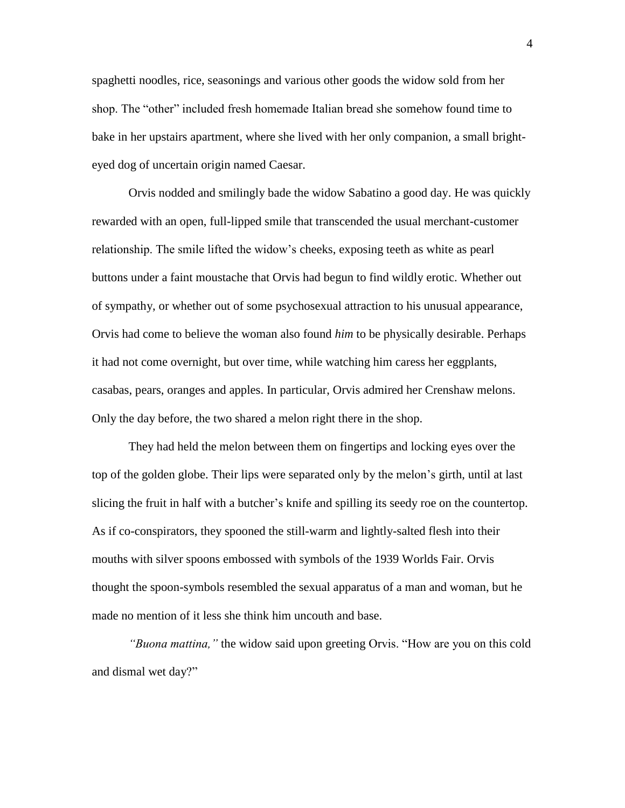spaghetti noodles, rice, seasonings and various other goods the widow sold from her shop. The "other" included fresh homemade Italian bread she somehow found time to bake in her upstairs apartment, where she lived with her only companion, a small brighteyed dog of uncertain origin named Caesar.

Orvis nodded and smilingly bade the widow Sabatino a good day. He was quickly rewarded with an open, full-lipped smile that transcended the usual merchant-customer relationship. The smile lifted the widow's cheeks, exposing teeth as white as pearl buttons under a faint moustache that Orvis had begun to find wildly erotic. Whether out of sympathy, or whether out of some psychosexual attraction to his unusual appearance, Orvis had come to believe the woman also found *him* to be physically desirable. Perhaps it had not come overnight, but over time, while watching him caress her eggplants, casabas, pears, oranges and apples. In particular, Orvis admired her Crenshaw melons. Only the day before, the two shared a melon right there in the shop.

They had held the melon between them on fingertips and locking eyes over the top of the golden globe. Their lips were separated only by the melon's girth, until at last slicing the fruit in half with a butcher's knife and spilling its seedy roe on the countertop. As if co-conspirators, they spooned the still-warm and lightly-salted flesh into their mouths with silver spoons embossed with symbols of the 1939 Worlds Fair. Orvis thought the spoon-symbols resembled the sexual apparatus of a man and woman, but he made no mention of it less she think him uncouth and base.

*"Buona mattina,"* the widow said upon greeting Orvis. "How are you on this cold and dismal wet day?"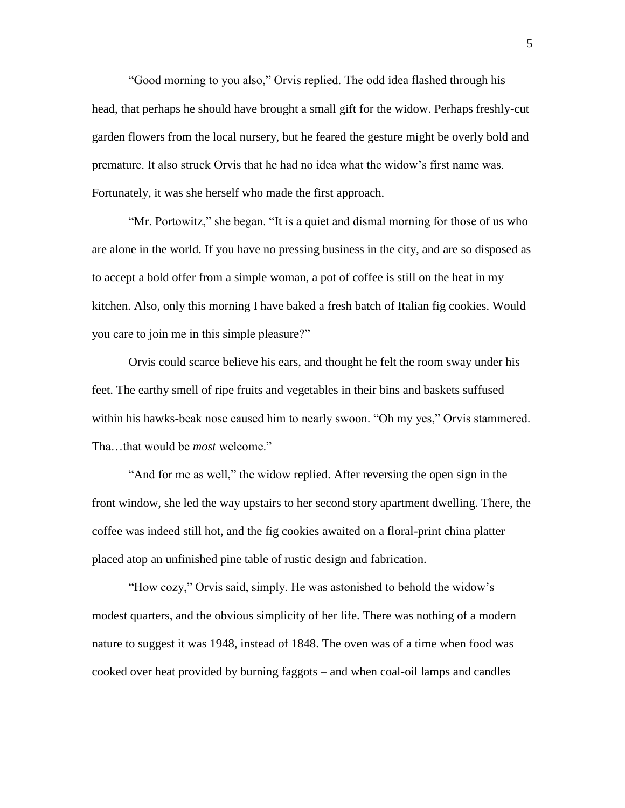"Good morning to you also," Orvis replied. The odd idea flashed through his head, that perhaps he should have brought a small gift for the widow. Perhaps freshly-cut garden flowers from the local nursery, but he feared the gesture might be overly bold and premature. It also struck Orvis that he had no idea what the widow's first name was. Fortunately, it was she herself who made the first approach.

"Mr. Portowitz," she began. "It is a quiet and dismal morning for those of us who are alone in the world. If you have no pressing business in the city, and are so disposed as to accept a bold offer from a simple woman, a pot of coffee is still on the heat in my kitchen. Also, only this morning I have baked a fresh batch of Italian fig cookies. Would you care to join me in this simple pleasure?"

Orvis could scarce believe his ears, and thought he felt the room sway under his feet. The earthy smell of ripe fruits and vegetables in their bins and baskets suffused within his hawks-beak nose caused him to nearly swoon. "Oh my yes," Orvis stammered. Tha…that would be *most* welcome."

"And for me as well," the widow replied. After reversing the open sign in the front window, she led the way upstairs to her second story apartment dwelling. There, the coffee was indeed still hot, and the fig cookies awaited on a floral-print china platter placed atop an unfinished pine table of rustic design and fabrication.

"How cozy," Orvis said, simply. He was astonished to behold the widow's modest quarters, and the obvious simplicity of her life. There was nothing of a modern nature to suggest it was 1948, instead of 1848. The oven was of a time when food was cooked over heat provided by burning faggots – and when coal-oil lamps and candles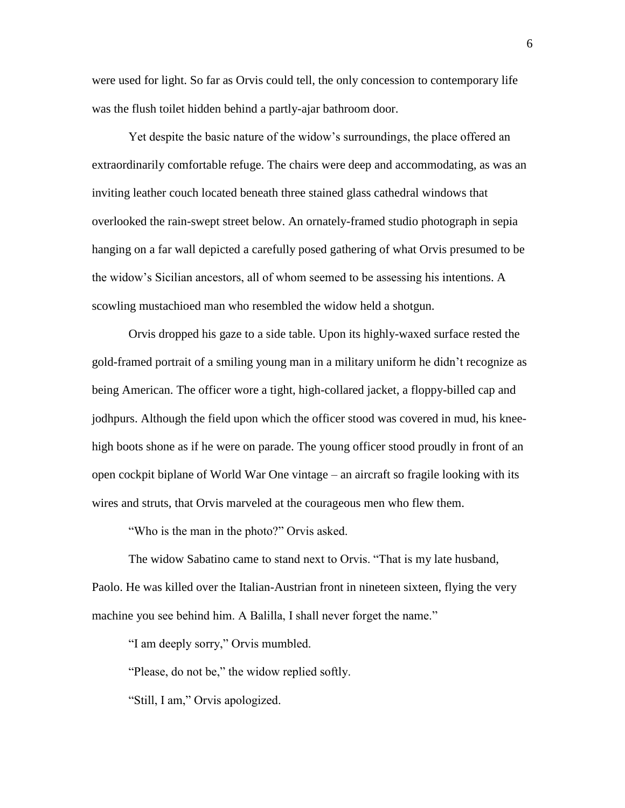were used for light. So far as Orvis could tell, the only concession to contemporary life was the flush toilet hidden behind a partly-ajar bathroom door.

Yet despite the basic nature of the widow's surroundings, the place offered an extraordinarily comfortable refuge. The chairs were deep and accommodating, as was an inviting leather couch located beneath three stained glass cathedral windows that overlooked the rain-swept street below. An ornately-framed studio photograph in sepia hanging on a far wall depicted a carefully posed gathering of what Orvis presumed to be the widow's Sicilian ancestors, all of whom seemed to be assessing his intentions. A scowling mustachioed man who resembled the widow held a shotgun.

Orvis dropped his gaze to a side table. Upon its highly-waxed surface rested the gold-framed portrait of a smiling young man in a military uniform he didn't recognize as being American. The officer wore a tight, high-collared jacket, a floppy-billed cap and jodhpurs. Although the field upon which the officer stood was covered in mud, his kneehigh boots shone as if he were on parade. The young officer stood proudly in front of an open cockpit biplane of World War One vintage – an aircraft so fragile looking with its wires and struts, that Orvis marveled at the courageous men who flew them.

"Who is the man in the photo?" Orvis asked.

The widow Sabatino came to stand next to Orvis. "That is my late husband, Paolo. He was killed over the Italian-Austrian front in nineteen sixteen, flying the very machine you see behind him. A Balilla, I shall never forget the name."

"I am deeply sorry," Orvis mumbled.

"Please, do not be," the widow replied softly.

"Still, I am," Orvis apologized.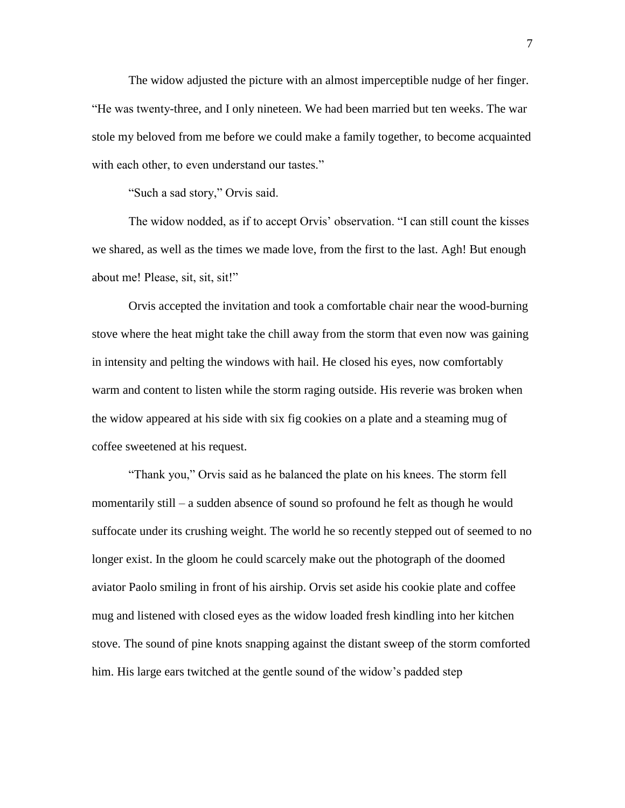The widow adjusted the picture with an almost imperceptible nudge of her finger. "He was twenty-three, and I only nineteen. We had been married but ten weeks. The war stole my beloved from me before we could make a family together, to become acquainted with each other, to even understand our tastes."

"Such a sad story," Orvis said.

The widow nodded, as if to accept Orvis' observation. "I can still count the kisses we shared, as well as the times we made love, from the first to the last. Agh! But enough about me! Please, sit, sit, sit!"

Orvis accepted the invitation and took a comfortable chair near the wood-burning stove where the heat might take the chill away from the storm that even now was gaining in intensity and pelting the windows with hail. He closed his eyes, now comfortably warm and content to listen while the storm raging outside. His reverie was broken when the widow appeared at his side with six fig cookies on a plate and a steaming mug of coffee sweetened at his request.

"Thank you," Orvis said as he balanced the plate on his knees. The storm fell momentarily still – a sudden absence of sound so profound he felt as though he would suffocate under its crushing weight. The world he so recently stepped out of seemed to no longer exist. In the gloom he could scarcely make out the photograph of the doomed aviator Paolo smiling in front of his airship. Orvis set aside his cookie plate and coffee mug and listened with closed eyes as the widow loaded fresh kindling into her kitchen stove. The sound of pine knots snapping against the distant sweep of the storm comforted him. His large ears twitched at the gentle sound of the widow's padded step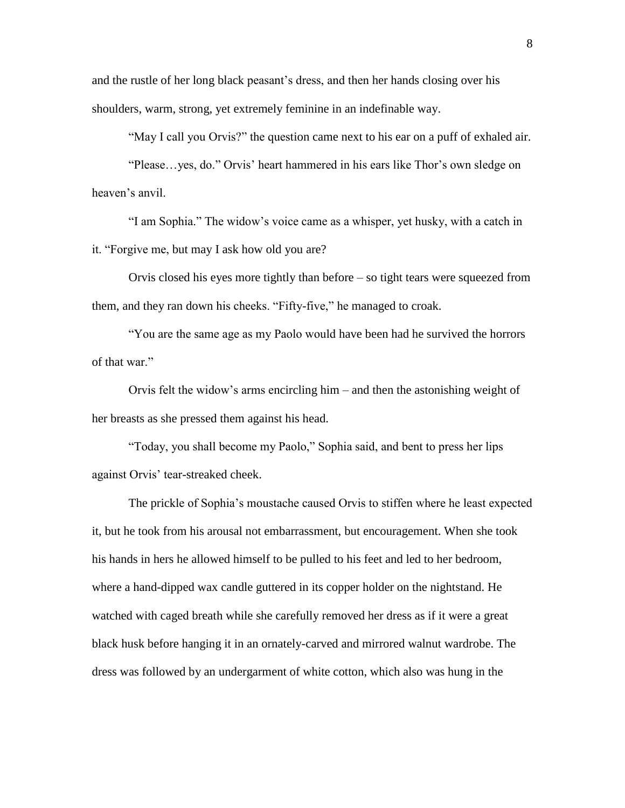and the rustle of her long black peasant's dress, and then her hands closing over his shoulders, warm, strong, yet extremely feminine in an indefinable way.

"May I call you Orvis?" the question came next to his ear on a puff of exhaled air.

"Please…yes, do." Orvis' heart hammered in his ears like Thor's own sledge on heaven's anvil.

"I am Sophia." The widow's voice came as a whisper, yet husky, with a catch in it. "Forgive me, but may I ask how old you are?

Orvis closed his eyes more tightly than before – so tight tears were squeezed from them, and they ran down his cheeks. "Fifty-five," he managed to croak.

"You are the same age as my Paolo would have been had he survived the horrors of that war."

Orvis felt the widow's arms encircling him – and then the astonishing weight of her breasts as she pressed them against his head.

"Today, you shall become my Paolo," Sophia said, and bent to press her lips against Orvis' tear-streaked cheek.

The prickle of Sophia's moustache caused Orvis to stiffen where he least expected it, but he took from his arousal not embarrassment, but encouragement. When she took his hands in hers he allowed himself to be pulled to his feet and led to her bedroom, where a hand-dipped wax candle guttered in its copper holder on the nightstand. He watched with caged breath while she carefully removed her dress as if it were a great black husk before hanging it in an ornately-carved and mirrored walnut wardrobe. The dress was followed by an undergarment of white cotton, which also was hung in the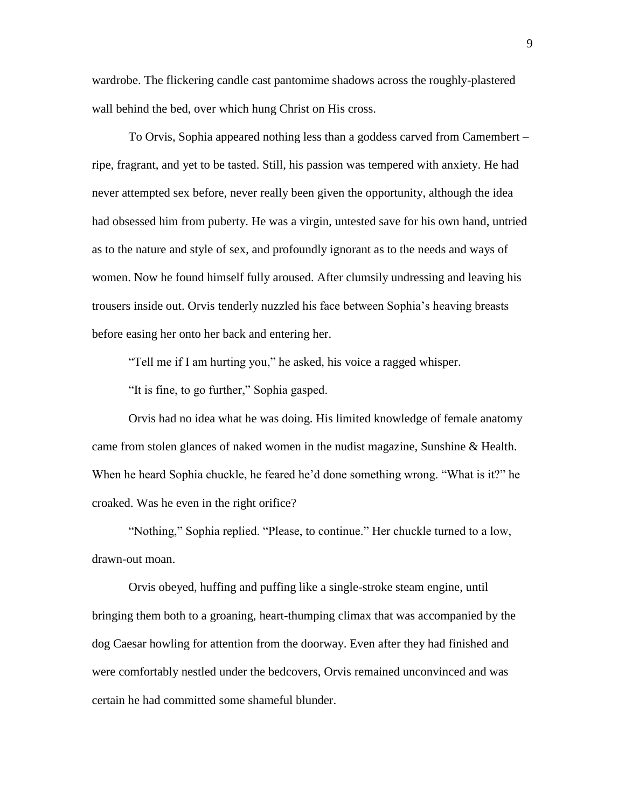wardrobe. The flickering candle cast pantomime shadows across the roughly-plastered wall behind the bed, over which hung Christ on His cross.

To Orvis, Sophia appeared nothing less than a goddess carved from Camembert – ripe, fragrant, and yet to be tasted. Still, his passion was tempered with anxiety. He had never attempted sex before, never really been given the opportunity, although the idea had obsessed him from puberty. He was a virgin, untested save for his own hand, untried as to the nature and style of sex, and profoundly ignorant as to the needs and ways of women. Now he found himself fully aroused. After clumsily undressing and leaving his trousers inside out. Orvis tenderly nuzzled his face between Sophia's heaving breasts before easing her onto her back and entering her.

"Tell me if I am hurting you," he asked, his voice a ragged whisper.

"It is fine, to go further," Sophia gasped.

Orvis had no idea what he was doing. His limited knowledge of female anatomy came from stolen glances of naked women in the nudist magazine, Sunshine & Health. When he heard Sophia chuckle, he feared he'd done something wrong. "What is it?" he croaked. Was he even in the right orifice?

"Nothing," Sophia replied. "Please, to continue." Her chuckle turned to a low, drawn-out moan.

Orvis obeyed, huffing and puffing like a single-stroke steam engine, until bringing them both to a groaning, heart-thumping climax that was accompanied by the dog Caesar howling for attention from the doorway. Even after they had finished and were comfortably nestled under the bedcovers, Orvis remained unconvinced and was certain he had committed some shameful blunder.